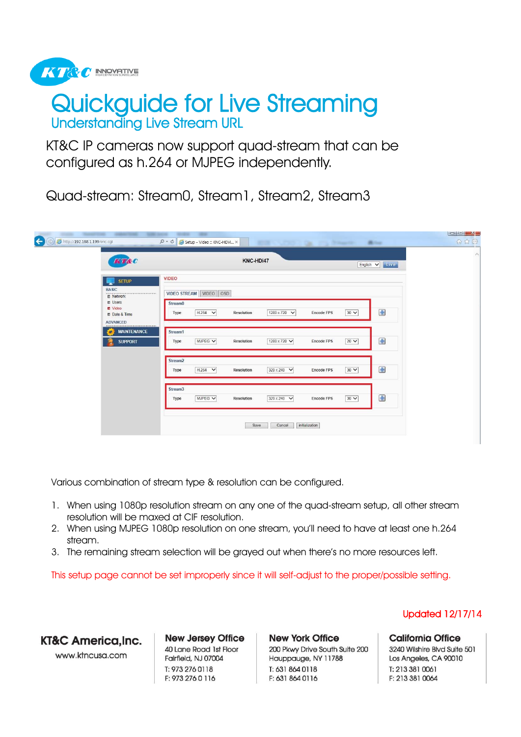

# Understanding Live Stream URL Quickguide for Live Streaming

KT&C IP cameras now support quad-stream that can be configured as h.264 or MJPEG independently.

Quad-stream: Stream0, Stream1, Stream2, Stream3

| KT&C                                                                               |                                               | KNC-HDi47         |                  |                   |           | English V<br>Live   |  |
|------------------------------------------------------------------------------------|-----------------------------------------------|-------------------|------------------|-------------------|-----------|---------------------|--|
| <b>SETUP</b>                                                                       | <b>VIDEO</b>                                  |                   |                  |                   |           |                     |  |
| <b>BASIC</b><br><b>四 Network</b>                                                   | VIDEO STREAM VIDEO OSD                        |                   |                  |                   |           |                     |  |
| <b>ET Users</b><br><b>Et</b> Video<br><b>Et Date &amp; Time</b><br><b>ADVANCED</b> | Stream <sub>0</sub><br>$H.264$ $\vee$<br>Type | Resolution        | 1280 x 720 V     | <b>Encode FPS</b> | $30 \vee$ | $\frac{1}{2}$       |  |
| <b>MAINTENANCE</b><br>œ.                                                           | Stream1                                       |                   |                  |                   |           |                     |  |
| <b>SUPPORT</b>                                                                     | MJPEG V<br>Type                               | Resolution        | 1280 x 720 V     | <b>Encode FPS</b> | $20 \vee$ | $\ddot{\textbf{r}}$ |  |
|                                                                                    | Stream <sub>2</sub><br>$H.264$ $\vee$<br>Type | <b>Resolution</b> | 320 x 240 $\vee$ | <b>Encode FPS</b> | $30 \vee$ | Œ                   |  |
|                                                                                    | Stream <sub>3</sub>                           |                   |                  |                   |           |                     |  |
|                                                                                    | MJPEG V<br>Type                               | <b>Resolution</b> | 320 x 240 $\vee$ | <b>Encode FPS</b> | $30 \vee$ | Ŧ                   |  |

Various combination of stream type & resolution can be configured.

- 1. When using 1080p resolution stream on any one of the quad-stream setup, all other stream resolution will be maxed at CIF resolution.
- 2. When using MJPEG 1080p resolution on one stream, you'll need to have at least one h.264 stream.
- 3. The remaining stream selection will be grayed out when there's no more resources left.

This setup page cannot be set improperly since it will self-adjust to the proper/possible setting.

KT&C America.Inc.

www.ktncusa.com

**New Jersey Office** 40 Lane Road 1st Floor Fairfield, NJ 07004 T: 973 276 0118 F: 973 276 0 116

**New York Office** 200 Pkwy Drive South Suite 200 Hauppauge, NY 11788 T: 631 864 0118 F: 631 864 0116

Updated 12/17/14

**California Office** 

3240 Wilshire Blvd Suite 501 Los Angeles, CA 90010 T: 213 381 0061 F: 213 381 0064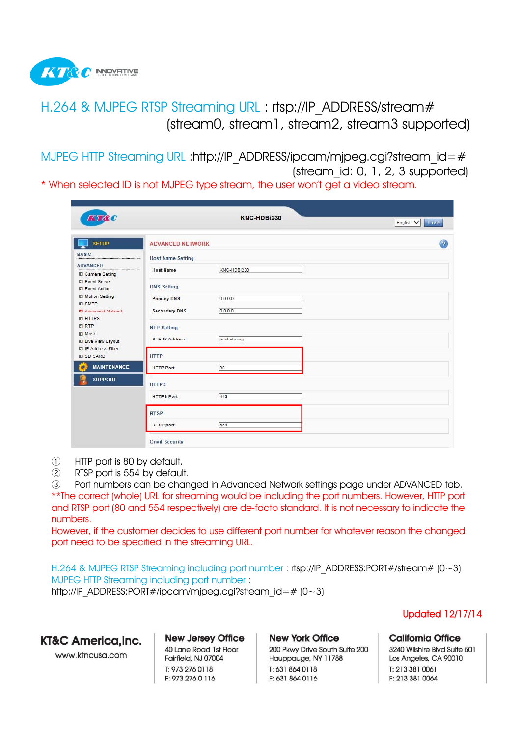

# H.264 & MJPEG RTSP Streaming URL : rtsp://IP\_ADDRESS/stream# (stream0, stream1, stream2, stream3 supported)

MJPEG HTTP Streaming URL :http://IP\_ADDRESS/ipcam/mjpeg.cgi?stream\_id=# (stream\_id: 0, 1, 2, 3 supported)

\* When selected ID is not MJPEG type stream, the user won't get a video stream.

| KT&C                                        |                          | KNC-HDBi230  | Live<br>English V |
|---------------------------------------------|--------------------------|--------------|-------------------|
| <b>SETUP</b>                                | <b>ADVANCED NETWORK</b>  |              | $\bigcirc$        |
| <b>BASIC</b>                                | <b>Host Name Setting</b> |              |                   |
| <b>ADVANCED</b><br>Camera Setting           | <b>Host Name</b>         | KNC-HDBi230  |                   |
| El Event Server<br><b>E</b> Event Action    | <b>DNS Setting</b>       |              |                   |
| <b>III</b> Motion Setting<br><b>EL SMTP</b> | <b>Primary DNS</b>       | 0.0.0.0      |                   |
| Advanced Network<br><b>ET HTTPS</b>         | <b>Secondary DNS</b>     | 0.0.0.0      |                   |
| <b>ET RTP</b><br>EJ Mask                    | <b>NTP Setting</b>       |              |                   |
| <b>ET Live View Layout</b>                  | <b>NTP IP Address</b>    | pool.ntp.org |                   |
| ■ IP Address Filter<br><b>EI SD CARD</b>    | <b>HTTP</b>              |              |                   |
| <b>MAINTENANCE</b><br>Eø.                   | <b>HTTP Port</b>         | 80           |                   |
| <b>SUPPORT</b>                              | <b>HTTPS</b>             |              |                   |
|                                             | <b>HTTPS Port</b>        | 443          |                   |
|                                             | <b>RTSP</b>              |              |                   |
|                                             | <b>RTSP</b> port         | 554          |                   |
|                                             | <b>Onvif Security</b>    |              |                   |

- ① HTTP port is 80 by default.
- ② RTSP port is 554 by default.

③ Port numbers can be changed in Advanced Network settings page under ADVANCED tab. \*\*The correct (whole) URL for streaming would be including the port numbers. However, HTTP port and RTSP port (80 and 554 respectively) are de-facto standard. It is not necessary to indicate the numbers.

However, if the customer decides to use different port number for whatever reason the changed port need to be specified in the streaming URL.

H.264 & MJPEG RTSP Streaming including port number : rtsp://IP\_ADDRESS:PORT#/stream#  $(0-3)$ MJPEG HTTP Streaming including port number : http://IP\_ADDRESS:PORT#/ipcam/mipeg.cgi?stream\_id=# (0~3)

KT&C America.Inc.

www.ktncusa.com

**New Jersey Office** 40 Lane Road 1st Floor Fairfield, NJ 07004 T: 973 276 0118 F: 973 276 0 116

**New York Office** 200 Pkwy Drive South Suite 200 Hauppauge, NY 11788 T: 631 864 0118 F: 631 864 0116

Updated 12/17/14

**California Office** 3240 Wilshire Blvd Suite 501 Los Angeles, CA 90010 T: 213 381 0061 F: 213 381 0064